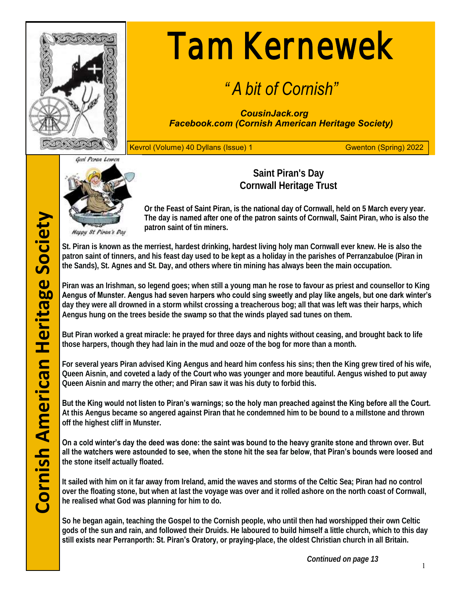

# Tam Kernewek

# *" A bit of Cornish"*

*CousinJack.org Facebook.com (Cornish American Heritage Society)*

Kevrol (Volume) 40 Dyllans (Issue) 1 Gwenton (Spring) 2022



**Saint Piran's Day Cornwall Heritage Trust**

**Or the Feast of Saint Piran, is the national day of Cornwall, held on 5 March every year. The day is named after one of the patron saints of Cornwall, Saint Piran, who is also the patron saint of tin miners.** 

**St. Piran is known as the merriest, hardest drinking, hardest living holy man Cornwall ever knew. He is also the patron saint of tinners, and his feast day used to be kept as a holiday in the parishes of Perranzabuloe (Piran in the Sands), St. Agnes and St. Day, and others where tin mining has always been the main occupation.**

**Piran was an Irishman, so legend goes; when still a young man he rose to favour as priest and counsellor to King Aengus of Munster. Aengus had seven harpers who could sing sweetly and play like angels, but one dark winter's day they were all drowned in a storm whilst crossing a treacherous bog; all that was left was their harps, which Aengus hung on the trees beside the swamp so that the winds played sad tunes on them.**

**But Piran worked a great miracle: he prayed for three days and nights without ceasing, and brought back to life those harpers, though they had lain in the mud and ooze of the bog for more than a month.**

**For several years Piran advised King Aengus and heard him confess his sins; then the King grew tired of his wife, Queen Aisnin, and coveted a lady of the Court who was younger and more beautiful. Aengus wished to put away Queen Aisnin and marry the other; and Piran saw it was his duty to forbid this.**

**But the King would not listen to Piran's warnings; so the holy man preached against the King before all the Court. At this Aengus became so angered against Piran that he condemned him to be bound to a millstone and thrown off the highest cliff in Munster.**

**On a cold winter's day the deed was done: the saint was bound to the heavy granite stone and thrown over. But all the watchers were astounded to see, when the stone hit the sea far below, that Piran's bounds were loosed and the stone itself actually floated.** 

**It sailed with him on it far away from Ireland, amid the waves and storms of the Celtic Sea; Piran had no control over the floating stone, but when at last the voyage was over and it rolled ashore on the north coast of Cornwall, he realised what God was planning for him to do.**

**So he began again, teaching the Gospel to the Cornish people, who until then had worshipped their own Celtic gods of the sun and rain, and followed their Druids. He laboured to build himself a little church, which to this day still exists near Perranporth: St. Piran's Oratory, or praying-place, the oldest Christian church in all Britain.**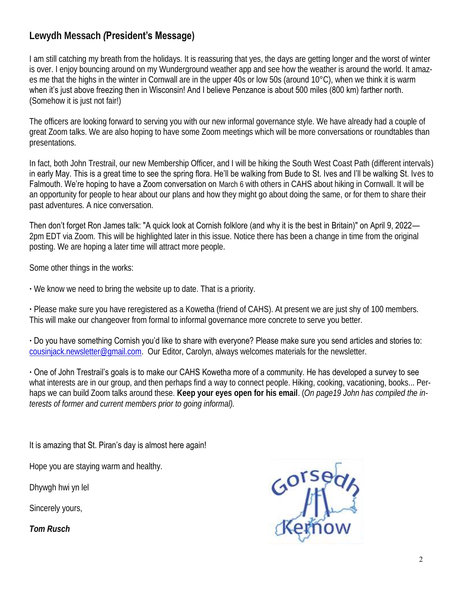# **Lewydh Messach** *(***President's Message)**

I am still catching my breath from the holidays. It is reassuring that yes, the days are getting longer and the worst of winter is over. I enjoy bouncing around on my Wunderground weather app and see how the weather is around the world. It amazes me that the highs in the winter in Cornwall are in the upper 40s or low 50s (around 10°C), when we think it is warm when it's just above freezing then in Wisconsin! And I believe Penzance is about 500 miles (800 km) farther north. (Somehow it is just not fair!)

The officers are looking forward to serving you with our new informal governance style. We have already had a couple of great Zoom talks. We are also hoping to have some Zoom meetings which will be more conversations or roundtables than presentations.

In fact, both John Trestrail, our new Membership Officer, and I will be hiking the South West Coast Path (different intervals) in early May. This is a great time to see the spring flora. He'll be walking from Bude to St. Ives and I'll be walking St. Ives to Falmouth. We're hoping to have a Zoom conversation on March 6 with others in CAHS about hiking in Cornwall. It will be an opportunity for people to hear about our plans and how they might go about doing the same, or for them to share their past adventures. A nice conversation.

Then don't forget Ron James talk: "A quick look at Cornish folklore (and why it is the best in Britain)" on April 9, 2022— 2pm EDT via Zoom. This will be highlighted later in this issue. Notice there has been a change in time from the original posting. We are hoping a later time will attract more people.

Some other things in the works:

**·** We know we need to bring the website up to date. That is a priority.

**·** Please make sure you have reregistered as a Kowetha (friend of CAHS). At present we are just shy of 100 members. This will make our changeover from formal to informal governance more concrete to serve you better.

**·** Do you have something Cornish you'd like to share with everyone? Please make sure you send articles and stories to: cousinjack.newsletter@gmail.com. Our Editor, Carolyn, always welcomes materials for the newsletter.

**·** One of John Trestrail's goals is to make our CAHS Kowetha more of a community. He has developed a survey to see what interests are in our group, and then perhaps find a way to connect people. Hiking, cooking, vacationing, books... Perhaps we can build Zoom talks around these. **Keep your eyes open for his email**. (*On page19 John has compiled the interests of former and current members prior to going informal).*

#### It is amazing that St. Piran's day is almost here again!

Hope you are staying warm and healthy.

Dhywgh hwi yn lel

Sincerely yours,

*Tom Rusch*

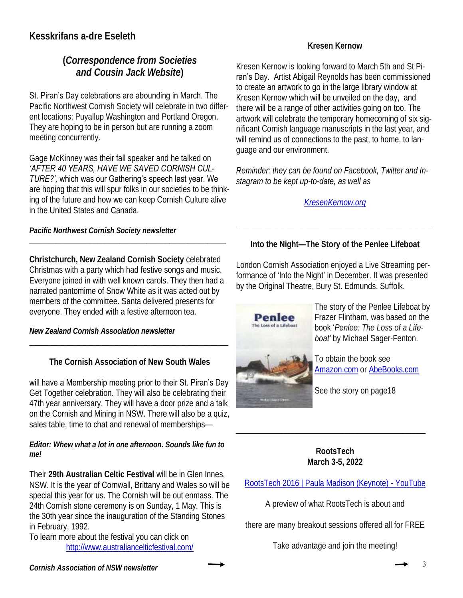# **(***Correspondence from Societies and Cousin Jack Website***)**

St. Piran's Day celebrations are abounding in March. The Pacific Northwest Cornish Society will celebrate in two different locations: Puyallup Washington and Portland Oregon. They are hoping to be in person but are running a zoom meeting concurrently.

Gage McKinney was their fall speaker and he talked on *'AFTER 40 YEARS, HAVE WE SAVED CORNISH CUL-TURE?',* which was our Gathering's speech last year. We are hoping that this will spur folks in our societies to be thinking of the future and how we can keep Cornish Culture alive in the United States and Canada.

*Pacific Northwest Cornish Society newsletter*

**Christchurch, New Zealand Cornish Society** celebrated Christmas with a party which had festive songs and music. Everyone joined in with well known carols. They then had a narrated pantomime of Snow White as it was acted out by members of the committee. Santa delivered presents for everyone. They ended with a festive afternoon tea.

*\_\_\_\_\_\_\_\_\_\_\_\_\_\_\_\_\_\_\_\_\_\_\_\_\_\_\_\_\_\_\_\_\_\_\_\_\_\_\_\_\_\_\_\_\_\_\_\_\_\_\_\_*

*New Zealand Cornish Association newsletter*

**The Cornish Association of New South Wales** 

\_\_\_\_\_\_\_\_\_\_\_\_\_\_\_\_\_\_\_\_\_\_\_\_\_\_\_\_\_\_\_\_\_\_\_\_\_\_\_\_\_\_\_\_\_\_\_\_\_\_\_\_\_\_\_\_\_\_\_\_\_\_\_\_\_\_\_\_\_\_\_\_\_\_

will have a Membership meeting prior to their St. Piran's Day

Get Together celebration. They will also be celebrating their 47th year anniversary. They will have a door prize and a talk on the Cornish and Mining in NSW. There will also be a quiz, sales table, time to chat and renewal of memberships—

#### *Editor: Whew what a lot in one afternoon. Sounds like fun to me!*

Their **29th Australian Celtic Festival** will be in Glen Innes, NSW. It is the year of Cornwall, Brittany and Wales so will be special this year for us. The Cornish will be out enmass. The 24th Cornish stone ceremony is on Sunday, 1 May. This is the 30th year since the inauguration of the Standing Stones in February, 1992.

To learn more about the festival you can click on http://www.australiancelticfestival.com/ Kresen Kernow is looking forward to March 5th and St Piran's Day. Artist Abigail Reynolds has been commissioned to create an artwork to go in the large library window at Kresen Kernow which will be unveiled on the day, and there will be a range of other activities going on too. The artwork will celebrate the temporary homecoming of six significant Cornish language manuscripts in the last year, and will remind us of connections to the past, to home, to language and our environment.

*Reminder: they can be found on Facebook, Twitter and Instagram to be kept up-to-date, as well as* 

*KresenKernow.org*

**Into the Night—The Story of the Penlee Lifeboat**

*\_\_\_\_\_\_\_\_\_\_\_\_\_\_\_\_\_\_\_\_\_\_\_\_\_\_\_\_\_\_\_\_\_\_\_\_\_\_\_\_\_\_\_\_\_\_\_*

London Cornish Association enjoyed a Live Streaming performance of 'Into the Night' in December. It was presented by the Original Theatre, Bury St. Edmunds, Suffolk.



The story of the Penlee Lifeboat by Frazer Flintham, was based on the book '*Penlee: The Loss of a Lifeboat'* by Michael Sager-Fenton.

To obtain the book see Amazon.com or AbeBooks.com

See the story on page18

**RootsTech March 3-5, 2022**

**\_\_\_\_\_\_\_\_\_\_\_\_\_\_\_\_\_\_\_\_\_\_\_\_\_**

RootsTech 2016 | Paula Madison (Keynote) - YouTube

A preview of what RootsTech is about and

there are many breakout sessions offered all for FREE

Take advantage and join the meeting!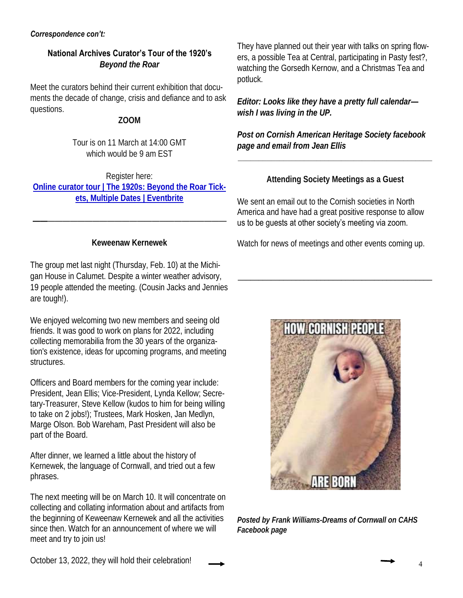#### **National Archives Curator's Tour of the 1920's** *Beyond the Roar*

Meet the curators behind their current exhibition that documents the decade of change, crisis and defiance and to ask questions.

#### **ZOOM**

Tour is on 11 March at 14:00 GMT which would be 9 am EST

Register here: **Online curator tour | The 1920s: Beyond the Roar Tickets, Multiple Dates | Eventbrite**

#### **Keweenaw Kernewek**

**——**————————————————————————

The group met last night (Thursday, Feb. 10) at the Michigan House in Calumet. Despite a winter weather advisory, 19 people attended the meeting. (Cousin Jacks and Jennies are tough!).

We enjoyed welcoming two new members and seeing old friends. It was good to work on plans for 2022, including collecting memorabilia from the 30 years of the organization's existence, ideas for upcoming programs, and meeting structures.

Officers and Board members for the coming year include: President, Jean Ellis; Vice-President, Lynda Kellow; Secretary-Treasurer, Steve Kellow (kudos to him for being willing to take on 2 jobs!); Trustees, Mark Hosken, Jan Medlyn, Marge Olson. Bob Wareham, Past President will also be part of the Board.

After dinner, we learned a little about the history of Kernewek, the language of Cornwall, and tried out a few phrases.

The next meeting will be on March 10. It will concentrate on collecting and collating information about and artifacts from the beginning of Keweenaw Kernewek and all the activities since then. Watch for an announcement of where we will meet and try to join us!

They have planned out their year with talks on spring flowers, a possible Tea at Central, participating in Pasty fest?, watching the Gorsedh Kernow, and a Christmas Tea and potluck.

*Editor: Looks like they have a pretty full calendar wish I was living in the UP.* 

*Post on Cornish American Heritage Society facebook page and email from Jean Ellis*

**Attending Society Meetings as a Guest**

**\_\_\_\_\_\_\_\_\_\_\_\_\_\_\_\_\_\_\_\_\_\_\_\_\_\_\_\_\_\_\_\_\_\_\_\_\_\_\_\_\_\_\_\_\_\_\_**

We sent an email out to the Cornish societies in North America and have had a great positive response to allow us to be guests at other society's meeting via zoom.

Watch for news of meetings and other events coming up.

\_\_\_\_\_\_\_\_\_\_\_\_\_\_\_\_\_\_\_\_\_\_\_\_\_\_\_\_\_\_\_\_\_\_\_\_\_\_\_\_\_\_\_\_\_\_\_



*Posted by Frank Williams-Dreams of Cornwall on CAHS Facebook page*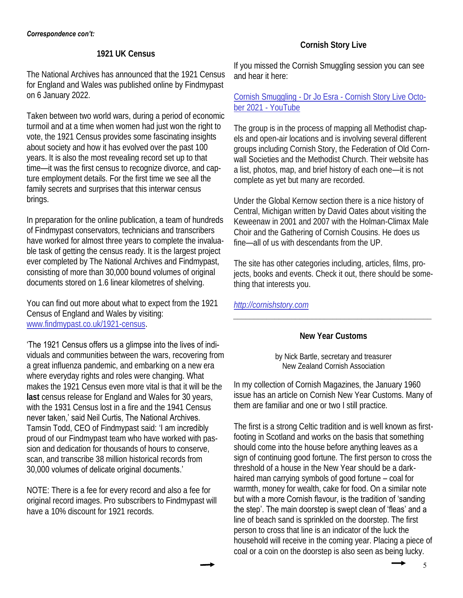#### **1921 UK Census**

The National Archives has announced that the 1921 Census for England and Wales was published online by Findmypast on 6 January 2022.

Taken between two world wars, during a period of economic turmoil and at a time when women had just won the right to vote, the 1921 Census provides some fascinating insights about society and how it has evolved over the past 100 years. It is also the most revealing record set up to that time—it was the first census to recognize divorce, and capture employment details. For the first time we see all the family secrets and surprises that this interwar census brings.

In preparation for the online publication, a team of hundreds of Findmypast conservators, technicians and transcribers have worked for almost three years to complete the invaluable task of getting the census ready. It is the largest project ever completed by The National Archives and Findmypast, consisting of more than 30,000 bound volumes of original documents stored on 1.6 linear kilometres of shelving.

You can find out more about what to expect from the 1921 Census of England and Wales by visiting: www.findmypast.co.uk/1921-census.

#### 'The 1921 Census offers us a glimpse into the lives of indi-

viduals and communities between the wars, recovering from a great influenza pandemic, and embarking on a new era where everyday rights and roles were changing. What makes the 1921 Census even more vital is that it will be the **last** census release for England and Wales for 30 years, with the 1931 Census lost in a fire and the 1941 Census never taken,' said Neil Curtis, The National Archives. Tamsin Todd, CEO of Findmypast said: 'I am incredibly proud of our Findmypast team who have worked with passion and dedication for thousands of hours to conserve, scan, and transcribe 38 million historical records from 30,000 volumes of delicate original documents.'

NOTE: There is a fee for every record and also a fee for original record images. Pro subscribers to Findmypast will have a 10% discount for 1921 records.

# **Cornish Story Live**

If you missed the Cornish Smuggling session you can see and hear it here:

#### Cornish Smuggling - Dr Jo Esra - Cornish Story Live October 2021 - YouTube

The group is in the process of mapping all Methodist chapels and open-air locations and is involving several different groups including Cornish Story, the Federation of Old Cornwall Societies and the Methodist Church. Their website has a list, photos, map, and brief history of each one—it is not complete as yet but many are recorded.

Under the Global Kernow section there is a nice history of Central, Michigan written by David Oates about visiting the Keweenaw in 2001 and 2007 with the Holman-Climax Male Choir and the Gathering of Cornish Cousins. He does us fine—all of us with descendants from the UP.

The site has other categories including, articles, films, projects, books and events. Check it out, there should be something that interests you.

*http://cornishstory.com*

#### **New Year Customs**

*\_\_\_\_\_\_\_\_\_\_\_\_\_\_\_\_\_\_\_\_\_\_\_\_\_\_\_\_\_\_\_\_\_\_\_\_\_\_\_\_\_\_\_\_\_\_\_\_*

by Nick Bartle, secretary and treasurer New Zealand Cornish Association

In my collection of Cornish Magazines, the January 1960 issue has an article on Cornish New Year Customs. Many of them are familiar and one or two I still practice.

The first is a strong Celtic tradition and is well known as firstfooting in Scotland and works on the basis that something should come into the house before anything leaves as a sign of continuing good fortune. The first person to cross the threshold of a house in the New Year should be a darkhaired man carrying symbols of good fortune – coal for warmth, money for wealth, cake for food. On a similar note but with a more Cornish flavour, is the tradition of 'sanding the step'. The main doorstep is swept clean of 'fleas' and a line of beach sand is sprinkled on the doorstep. The first person to cross that line is an indicator of the luck the household will receive in the coming year. Placing a piece of coal or a coin on the doorstep is also seen as being lucky.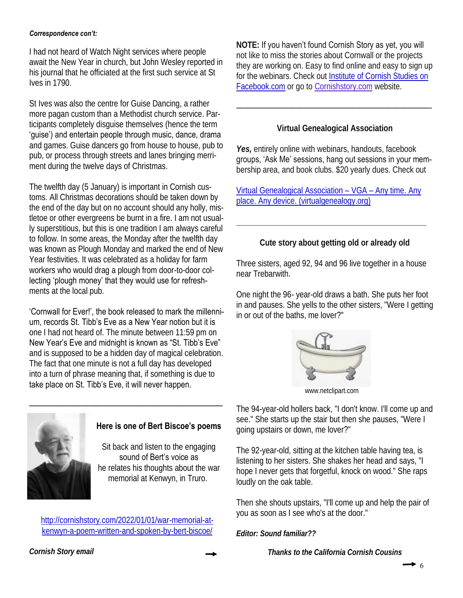I had not heard of Watch Night services where people await the New Year in church, but John Wesley reported in his journal that he officiated at the first such service at St Ives in 1790.

St Ives was also the centre for Guise Dancing, a rather more pagan custom than a Methodist church service. Participants completely disguise themselves (hence the term 'guise') and entertain people through music, dance, drama and games. Guise dancers go from house to house, pub to pub, or process through streets and lanes bringing merriment during the twelve days of Christmas.

The twelfth day (5 January) is important in Cornish customs. All Christmas decorations should be taken down by the end of the day but on no account should any holly, mistletoe or other evergreens be burnt in a fire. I am not usually superstitious, but this is one tradition I am always careful to follow. In some areas, the Monday after the twelfth day was known as Plough Monday and marked the end of New Year festivities. It was celebrated as a holiday for farm workers who would drag a plough from door-to-door collecting 'plough money' that they would use for refreshments at the local pub.

'Cornwall for Ever!', the book released to mark the millennium, records St. Tibb's Eve as a New Year notion but it is one I had not heard of. The minute between 11:59 pm on New Year's Eve and midnight is known as "St. Tibb's Eve" and is supposed to be a hidden day of magical celebration. The fact that one minute is not a full day has developed into a turn of phrase meaning that, if something is due to take place on St. Tibb's Eve, it will never happen.



#### **Here is one of Bert Biscoe's poems**

Sit back and listen to the engaging sound of Bert's voice as he relates his thoughts about the war memorial at Kenwyn, in Truro.

http://cornishstory.com/2022/01/01/war-memorial-atkenwyn-a-poem-written-and-spoken-by-bert-biscoe/

**NOTE:** If you haven't found Cornish Story as yet, you will not like to miss the stories about Cornwall or the projects they are working on. Easy to find online and easy to sign up for the webinars. Check out Institute of Cornish Studies on Facebook.com or go to Cornishstory.com website.

**Virtual Genealogical Association**

——————————————————————————-

Yes, entirely online with webinars, handouts, facebook groups, 'Ask Me' sessions, hang out sessions in your membership area, and book clubs. \$20 yearly dues. Check out

Virtual Genealogical Association – VGA – Any time. Any place. Any device. (virtualgenealogy.org)

**Cute story about getting old or already old**

**\_\_\_\_\_\_\_\_\_\_\_\_\_\_\_\_\_\_\_\_\_\_\_\_\_\_\_\_\_\_\_\_\_\_\_\_\_\_\_\_\_\_\_\_\_\_**

Three sisters, aged 92, 94 and 96 live together in a house near Trebarwith.

One night the 96- year-old draws a bath. She puts her foot in and pauses. She yells to the other sisters, "Were I getting in or out of the baths, me lover?"



www.netclipart.com

The 94-year-old hollers back, "I don't know. I'll come up and see." She starts up the stair but then she pauses, "Were I going upstairs or down, me lover?"

The 92-year-old, sitting at the kitchen table having tea, is listening to her sisters. She shakes her head and says, "I hope I never gets that forgetful, knock on wood." She raps loudly on the oak table.

Then she shouts upstairs, "I'll come up and help the pair of you as soon as I see who's at the door."

*Editor: Sound familiar??*

*Thanks to the California Cornish Cousins*

*Cornish Story email*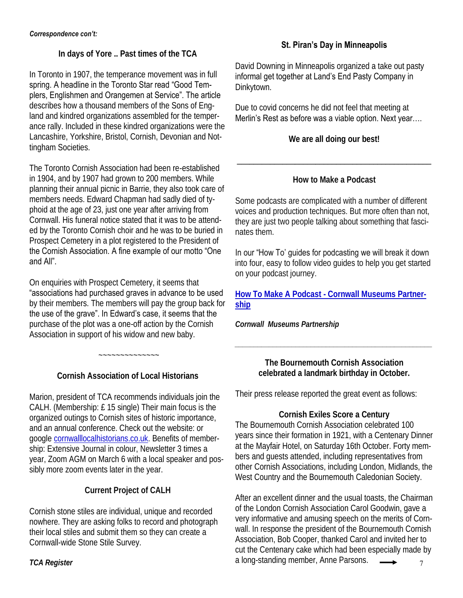**In days of Yore .. Past times of the TCA** 

In Toronto in 1907, the temperance movement was in full spring. A headline in the Toronto Star read "Good Templers, Englishmen and Orangemen at Service". The article describes how a thousand members of the Sons of England and kindred organizations assembled for the temperance rally. Included in these kindred organizations were the Lancashire, Yorkshire, Bristol, Cornish, Devonian and Nottingham Societies.

The Toronto Cornish Association had been re-established in 1904, and by 1907 had grown to 200 members. While planning their annual picnic in Barrie, they also took care of members needs. Edward Chapman had sadly died of typhoid at the age of 23, just one year after arriving from Cornwall. His funeral notice stated that it was to be attended by the Toronto Cornish choir and he was to be buried in Prospect Cemetery in a plot registered to the President of the Cornish Association. A fine example of our motto "One and All".

On enquiries with Prospect Cemetery, it seems that "associations had purchased graves in advance to be used by their members. The members will pay the group back for the use of the grave". In Edward's case, it seems that the purchase of the plot was a one-off action by the Cornish Association in support of his widow and new baby.

**Cornish Association of Local Historians**

~~~~~~~~~~~~~~

Marion, president of TCA recommends individuals join the CALH. (Membership: £ 15 single) Their main focus is the organized outings to Cornish sites of historic importance, and an annual conference. Check out the website: or google cornwalllocalhistorians.co.uk. Benefits of membership: Extensive Journal in colour, Newsletter 3 times a year, Zoom AGM on March 6 with a local speaker and possibly more zoom events later in the year.

# **Current Project of CALH**

Cornish stone stiles are individual, unique and recorded nowhere. They are asking folks to record and photograph their local stiles and submit them so they can create a Cornwall-wide Stone Stile Survey.

# **St. Piran's Day in Minneapolis**

David Downing in Minneapolis organized a take out pasty informal get together at Land's End Pasty Company in Dinkytown.

Due to covid concerns he did not feel that meeting at Merlin's Rest as before was a viable option. Next year….

**We are all doing our best!**

# **How to Make a Podcast**

\_\_\_\_\_\_\_\_\_\_\_\_\_\_\_\_\_\_\_\_\_\_\_\_\_\_\_\_\_\_\_\_\_\_\_\_\_\_\_\_\_\_\_\_\_\_\_

Some podcasts are complicated with a number of different voices and production techniques. But more often than not, they are just two people talking about something that fascinates them.

In our "How To' guides for podcasting we will break it down into four, easy to follow video guides to help you get started on your podcast journey.

**How To Make A Podcast - Cornwall Museums Partnership**

*Cornwall Museums Partnership*

**The Bournemouth Cornish Association celebrated a landmark birthday in October.** 

*\_\_\_\_\_\_\_\_\_\_\_\_\_\_\_\_\_\_\_\_\_\_\_\_\_\_\_\_\_\_\_\_\_\_\_\_\_\_\_\_\_\_\_\_\_\_\_\_\_\_\_\_*

Their press release reported the great event as follows:

**Cornish Exiles Score a Century**  The Bournemouth Cornish Association celebrated 100 years since their formation in 1921, with a Centenary Dinner at the Mayfair Hotel, on Saturday 16th October. Forty members and guests attended, including representatives from other Cornish Associations, including London, Midlands, the West Country and the Bournemouth Caledonian Society.

TCA Register **7** a long-standing member, Anne Parsons. After an excellent dinner and the usual toasts, the Chairman of the London Cornish Association Carol Goodwin, gave a very informative and amusing speech on the merits of Cornwall. In response the president of the Bournemouth Cornish Association, Bob Cooper, thanked Carol and invited her to cut the Centenary cake which had been especially made by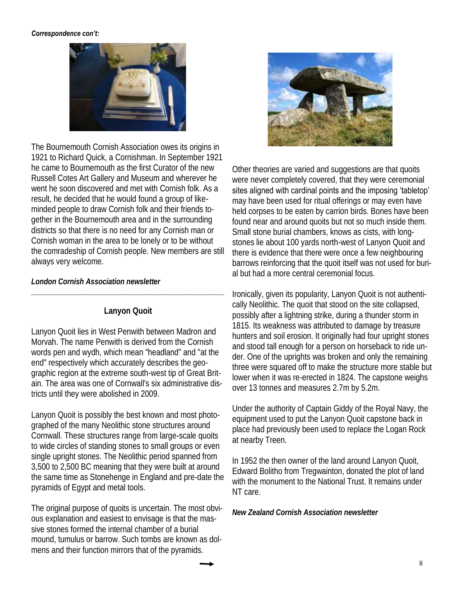

The Bournemouth Cornish Association owes its origins in 1921 to Richard Quick, a Cornishman. In September 1921 he came to Bournemouth as the first Curator of the new Russell Cotes Art Gallery and Museum and wherever he went he soon discovered and met with Cornish folk. As a result, he decided that he would found a group of likeminded people to draw Cornish folk and their friends together in the Bournemouth area and in the surrounding districts so that there is no need for any Cornish man or Cornish woman in the area to be lonely or to be without the comradeship of Cornish people. New members are still always very welcome.

*London Cornish Association newsletter*

#### **Lanyon Quoit**

*\_\_\_\_\_\_\_\_\_\_\_\_\_\_\_\_\_\_\_\_\_\_\_\_\_\_\_\_\_\_\_\_\_\_\_\_\_\_\_\_\_\_\_\_\_\_\_\_\_\_\_*

Lanyon Quoit lies in West Penwith between Madron and Morvah. The name Penwith is derived from the Cornish words pen and wydh, which mean "headland" and "at the end" respectively which accurately describes the geographic region at the extreme south-west tip of Great Britain. The area was one of Cornwall's six administrative districts until they were abolished in 2009.

Lanyon Quoit is possibly the best known and most photographed of the many Neolithic stone structures around Cornwall. These structures range from large-scale quoits to wide circles of standing stones to small groups or even single upright stones. The Neolithic period spanned from 3,500 to 2,500 BC meaning that they were built at around the same time as Stonehenge in England and pre-date the pyramids of Egypt and metal tools.

The original purpose of quoits is uncertain. The most obvious explanation and easiest to envisage is that the massive stones formed the internal chamber of a burial mound, tumulus or barrow. Such tombs are known as dolmens and their function mirrors that of the pyramids.



Other theories are varied and suggestions are that quoits were never completely covered, that they were ceremonial sites aligned with cardinal points and the imposing 'tabletop' may have been used for ritual offerings or may even have held corpses to be eaten by carrion birds. Bones have been found near and around quoits but not so much inside them. Small stone burial chambers, knows as cists, with longstones lie about 100 yards north-west of Lanyon Quoit and there is evidence that there were once a few neighbouring barrows reinforcing that the quoit itself was not used for burial but had a more central ceremonial focus.

Ironically, given its popularity, Lanyon Quoit is not authentically Neolithic. The quoit that stood on the site collapsed, possibly after a lightning strike, during a thunder storm in 1815. Its weakness was attributed to damage by treasure hunters and soil erosion. It originally had four upright stones and stood tall enough for a person on horseback to ride under. One of the uprights was broken and only the remaining three were squared off to make the structure more stable but lower when it was re-erected in 1824. The capstone weighs over 13 tonnes and measures 2.7m by 5.2m.

Under the authority of Captain Giddy of the Royal Navy, the equipment used to put the Lanyon Quoit capstone back in place had previously been used to replace the Logan Rock at nearby Treen.

In 1952 the then owner of the land around Lanyon Quoit, Edward Bolitho from Tregwainton, donated the plot of land with the monument to the National Trust. It remains under NT care.

*New Zealand Cornish Association newsletter*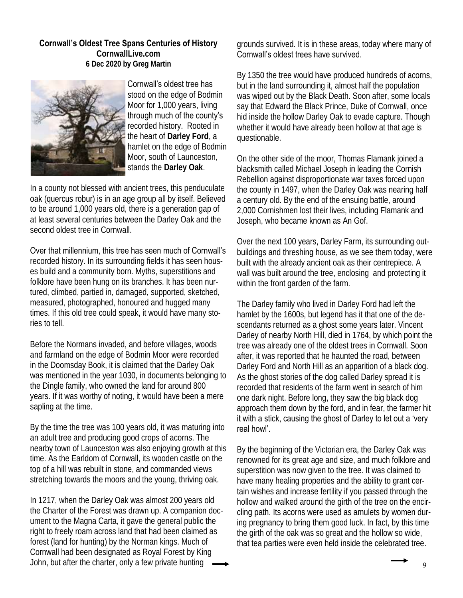#### **Cornwall's Oldest Tree Spans Centuries of History**

**CornwallLive.com 6 Dec 2020 by Greg Martin**



#### Cornwall's oldest tree has

stood on the edge of Bodmin Moor for 1,000 years, living through much of the county's recorded history. Rooted in the heart of **Darley Ford**, a hamlet on the edge of Bodmin Moor, south of Launceston, stands the **Darley Oak**.

In a county not blessed with ancient trees, this penduculate oak (quercus robur) is in an age group all by itself. Believed to be around 1,000 years old, there is a generation gap of at least several centuries between the Darley Oak and the second oldest tree in Cornwall.

#### Over that millennium, this tree has seen much of Cornwall's

recorded history. In its surrounding fields it has seen houses build and a community born. Myths, superstitions and folklore have been hung on its branches. It has been nurtured, climbed, partied in, damaged, supported, sketched, measured, photographed, honoured and hugged many times. If this old tree could speak, it would have many stories to tell.

Before the Normans invaded, and before villages, woods and farmland on the edge of Bodmin Moor were recorded in the Doomsday Book, it is claimed that the Darley Oak was mentioned in the year 1030, in documents belonging to the Dingle family, who owned the land for around 800 years. If it was worthy of noting, it would have been a mere sapling at the time.

By the time the tree was 100 years old, it was maturing into an adult tree and producing good crops of acorns. The nearby town of Launceston was also enjoying growth at this time. As the Earldom of Cornwall, its wooden castle on the top of a hill was rebuilt in stone, and commanded views stretching towards the moors and the young, thriving oak.

In 1217, when the Darley Oak was almost 200 years old the Charter of the Forest was drawn up. A companion document to the Magna Carta, it gave the general public the right to freely roam across land that had been claimed as forest (land for hunting) by the Norman kings. Much of Cornwall had been designated as Royal Forest by King John, but after the charter, only a few private hunting

grounds survived. It is in these areas, today where many of Cornwall's oldest trees have survived.

By 1350 the tree would have produced hundreds of acorns, but in the land surrounding it, almost half the population was wiped out by the Black Death. Soon after, some locals say that Edward the Black Prince, Duke of Cornwall, once hid inside the hollow Darley Oak to evade capture. Though whether it would have already been hollow at that age is questionable.

On the other side of the moor, Thomas Flamank joined a blacksmith called Michael Joseph in leading the Cornish Rebellion against disproportionate war taxes forced upon the county in 1497, when the Darley Oak was nearing half a century old. By the end of the ensuing battle, around 2,000 Cornishmen lost their lives, including Flamank and Joseph, who became known as An Gof.

Over the next 100 years, Darley Farm, its surrounding outbuildings and threshing house, as we see them today, were built with the already ancient oak as their centrepiece. A wall was built around the tree, enclosing and protecting it within the front garden of the farm.

The Darley family who lived in Darley Ford had left the hamlet by the 1600s, but legend has it that one of the descendants returned as a ghost some years later. Vincent Darley of nearby North Hill, died in 1764, by which point the tree was already one of the oldest trees in Cornwall. Soon after, it was reported that he haunted the road, between Darley Ford and North Hill as an apparition of a black dog. As the ghost stories of the dog called Darley spread it is recorded that residents of the farm went in search of him one dark night. Before long, they saw the big black dog approach them down by the ford, and in fear, the farmer hit it with a stick, causing the ghost of Darley to let out a 'very real howl'.

By the beginning of the Victorian era, the Darley Oak was renowned for its great age and size, and much folklore and superstition was now given to the tree. It was claimed to have many healing properties and the ability to grant certain wishes and increase fertility if you passed through the hollow and walked around the girth of the tree on the encircling path. Its acorns were used as amulets by women during pregnancy to bring them good luck. In fact, by this time the girth of the oak was so great and the hollow so wide, that tea parties were even held inside the celebrated tree.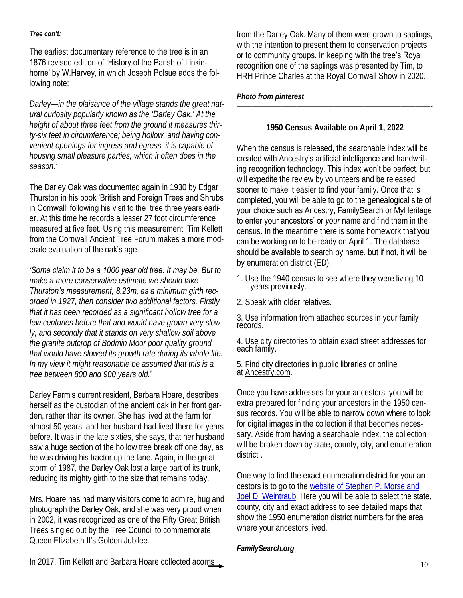#### *Tree con't:*

The earliest documentary reference to the tree is in an 1876 revised edition of 'History of the Parish of Linkinhorne' by W.Harvey, in which Joseph Polsue adds the following note:

*Darley—in the plaisance of the village stands the great natural curiosity popularly known as the 'Darley Oak.' At the height of about three feet from the ground it measures thirty-six feet in circumference; being hollow, and having convenient openings for ingress and egress, it is capable of housing small pleasure parties, which it often does in the season.'*

The Darley Oak was documented again in 1930 by Edgar Thurston in his book 'British and Foreign Trees and Shrubs in Cornwall' following his visit to the tree three years earlier. At this time he records a lesser 27 foot circumference measured at five feet. Using this measurement, Tim Kellett from the Cornwall Ancient Tree Forum makes a more moderate evaluation of the oak's age.

*'Some claim it to be a 1000 year old tree. It may be. But to make a more conservative estimate we should take Thurston's measurement, 8.23m, as a minimum girth recorded in 1927, then consider two additional factors. Firstly that it has been recorded as a significant hollow tree for a few centuries before that and would have grown very slowly, and secondly that it stands on very shallow soil above the granite outcrop of Bodmin Moor poor quality ground that would have slowed its growth rate during its whole life. In my view it might reasonable be assumed that this is a tree between 800 and 900 years old.*'

#### Darley Farm's current resident, Barbara Hoare, describes

herself as the custodian of the ancient oak in her front garden, rather than its owner. She has lived at the farm for almost 50 years, and her husband had lived there for years before. It was in the late sixties, she says, that her husband saw a huge section of the hollow tree break off one day, as he was driving his tractor up the lane. Again, in the great storm of 1987, the Darley Oak lost a large part of its trunk, reducing its mighty girth to the size that remains today.

Mrs. Hoare has had many visitors come to admire, hug and photograph the Darley Oak, and she was very proud when in 2002, it was recognized as one of the Fifty Great British Trees singled out by the Tree Council to commemorate Queen Elizabeth II's Golden Jubilee.

from the Darley Oak. Many of them were grown to saplings, with the intention to present them to conservation projects or to community groups. In keeping with the tree's Royal recognition one of the saplings was presented by Tim, to HRH Prince Charles at the Royal Cornwall Show in 2020.

*Photo from pinterest*

**1950 Census Available on April 1, 2022**

——————————————————————————-

When the census is released, the searchable index will be created with Ancestry's artificial intelligence and handwriting recognition technology. This index won't be perfect, but will expedite the review by volunteers and be released sooner to make it easier to find your family. Once that is completed, you will be able to go to the genealogical site of your choice such as Ancestry, FamilySearch or MyHeritage to enter your ancestors' or *your* name and find them in the census. In the meantime there is some homework that you can be working on to be ready on April 1. The database should be available to search by name, but if not, it will be by enumeration district (ED).

- 1. Use the 1940 census to see where they were living 10 years previously.
- 2. Speak with older relatives.

3. Use information from attached sources in your family records.

4. Use city directories to obtain exact street addresses for each family.

5. Find city directories in public libraries or online at <u>Ancestry.com</u>.

Once you have addresses for your ancestors, you will be extra prepared for finding your ancestors in the 1950 census records. You will be able to narrow down where to look for digital images in the collection if that becomes necessary. Aside from having a searchable index, the collection will be broken down by state, county, city, and enumeration district .

One way to find the exact enumeration district for your ancestors is to go to the website of Stephen P. Morse and Joel D. Weintraub. Here you will be able to select the state, county, city and exact address to see detailed maps that show the 1950 enumeration district numbers for the area where your ancestors lived.

*FamilySearch.org*

In 2017, Tim Kellett and Barbara Hoare collected acorns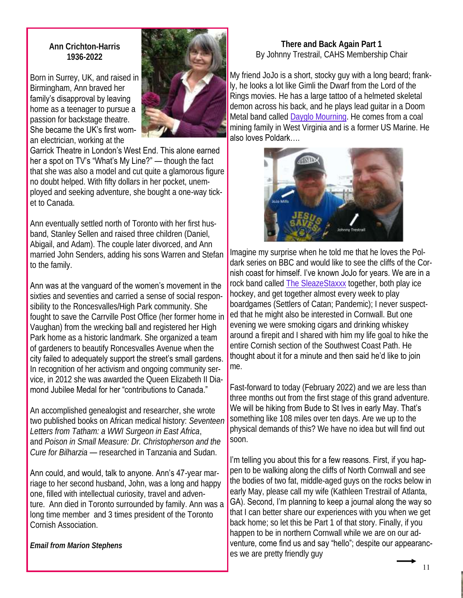**Ann Crichton-Harris 1936-2022**

Born in Surrey, UK, and raised in Birmingham, Ann braved her family's disapproval by leaving home as a teenager to pursue a passion for backstage theatre. She became the UK's first woman electrician, working at the



Garrick Theatre in London's West End. This alone earned her a spot on TV's "What's My Line?" — though the fact that she was also a model and cut quite a glamorous figure no doubt helped. With fifty dollars in her pocket, unemployed and seeking adventure, she bought a one-way ticket to Canada.

Ann eventually settled north of Toronto with her first husband, Stanley Sellen and raised three children (Daniel, Abigail, and Adam). The couple later divorced, and Ann married John Senders, adding his sons Warren and Stefan to the family.

#### Ann was at the vanguard of the women's movement in the

sixties and seventies and carried a sense of social responsibility to the Roncesvalles/High Park community. She fought to save the Carrville Post Office (her former home in Vaughan) from the wrecking ball and registered her High Park home as a historic landmark. She organized a team of gardeners to beautify Roncesvalles Avenue when the city failed to adequately support the street's small gardens. In recognition of her activism and ongoing community service, in 2012 she was awarded the Queen Elizabeth II Diamond Jubilee Medal for her "contributions to Canada."

An accomplished genealogist and researcher, she wrote two published books on African medical history: *Seventeen Letters from Tatham: a WWI Surgeon in East Africa*, and *Poison in Small Measure: Dr. Christopherson and the Cure for Bilharzia* — researched in Tanzania and Sudan.

Ann could, and would, talk to anyone. Ann's 47-year marriage to her second husband, John, was a long and happy one, filled with intellectual curiosity, travel and adventure. Ann died in Toronto surrounded by family. Ann was a long time member and 3 times president of the Toronto Cornish Association.

*Email from Marion Stephens*

#### **There and Back Again Part 1**  By Johnny Trestrail, CAHS Membership Chair

My friend JoJo is a short, stocky guy with a long beard; frankly, he looks a lot like Gimli the Dwarf from the Lord of the Rings movies. He has a large tattoo of a helmeted skeletal demon across his back, and he plays lead guitar in a Doom Metal band called Dayglo Mourning. He comes from a coal mining family in West Virginia and is a former US Marine. He also loves Poldark….



Imagine my surprise when he told me that he loves the Poldark series on BBC and would like to see the cliffs of the Cornish coast for himself. I've known JoJo for years. We are in a rock band called The SleazeStaxxx together, both play ice hockey, and get together almost every week to play boardgames (Settlers of Catan; Pandemic); I never suspected that he might also be interested in Cornwall. But one evening we were smoking cigars and drinking whiskey around a firepit and I shared with him my life goal to hike the entire Cornish section of the Southwest Coast Path. He thought about it for a minute and then said he'd like to join me.

Fast-forward to today (February 2022) and we are less than three months out from the first stage of this grand adventure. We will be hiking from Bude to St Ives in early May. That's something like 108 miles over ten days. Are we up to the physical demands of this? We have no idea but will find out soon.

I'm telling you about this for a few reasons. First, if you happen to be walking along the cliffs of North Cornwall and see the bodies of two fat, middle-aged guys on the rocks below in early May, please call my wife (Kathleen Trestrail of Atlanta, GA). Second, I'm planning to keep a journal along the way so that I can better share our experiences with you when we get back home; so let this be Part 1 of that story. Finally, if you happen to be in northern Cornwall while we are on our adventure, come find us and say "hello"; despite our appearances we are pretty friendly guy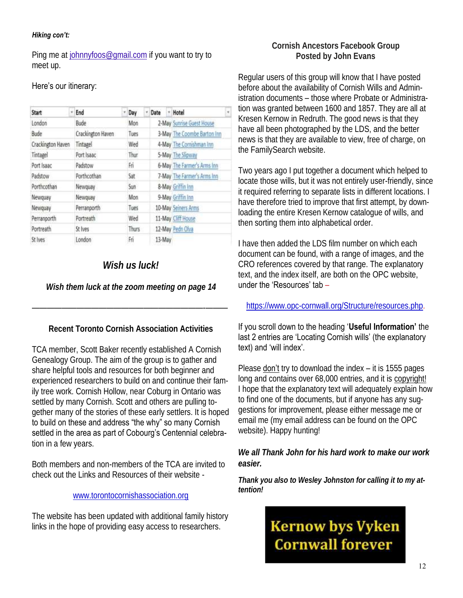#### *Hiking con't:*

Ping me at johnnyfoos@gmail.com if you want to try to meet up.

#### Here's our itinerary:

| Start             | ¥ | End               | ×١ | Day          |  | Date   |  | Hotel                       |  |
|-------------------|---|-------------------|----|--------------|--|--------|--|-----------------------------|--|
| London            |   | Bude              |    | Mon          |  |        |  | 2-May Sunrise Guest House   |  |
| Bude              |   | Crackington Haven |    | Tues         |  |        |  | 3-May The Coombe Barton Inn |  |
| Crackington Haven |   | Tintagel          |    | Wed          |  |        |  | 4-May The Cornishman Inn    |  |
| Tintagel          |   | Port Isaac        |    | Thur         |  |        |  | 5-May The Slipway           |  |
| Port Isaac        |   | Padstow           |    | Fri          |  |        |  | 6-May The Farmer's Arms Inn |  |
| Padstow           |   | Porthcothan       |    | Sat          |  |        |  | 7-May The Farmer's Arms Inn |  |
| Porthcothan       |   | Newquay           |    | Sun          |  |        |  | 8-May Griffin Inn           |  |
| Newquay           |   | Newquay           |    | Mon          |  |        |  | 9-May Griffin Inn           |  |
| Newquay           |   | Perranporth       |    | Tues         |  |        |  | 10-May Seiners Arms         |  |
| Perranporth       |   | Portreath         |    | Wed          |  |        |  | 11-May Cliff House          |  |
| Portreath         |   | St Ives           |    | <b>Thurs</b> |  |        |  | 12-May Pedn Olva            |  |
| St Ives           |   | London            |    | Fń           |  | 13-May |  |                             |  |

# *Wish us luck!*

*Wish them luck at the zoom meeting on page 14*

**Recent Toronto Cornish Association Activities**

———————————————————————-———

TCA member, Scott Baker recently established A Cornish Genealogy Group. The aim of the group is to gather and share helpful tools and resources for both beginner and experienced researchers to build on and continue their family tree work. Cornish Hollow, near Coburg in Ontario was settled by many Cornish. Scott and others are pulling together many of the stories of these early settlers. It is hoped to build on these and address "the why" so many Cornish settled in the area as part of Cobourg's Centennial celebration in a few years.

Both members and non-members of the TCA are invited to check out the Links and Resources of their website -

#### www.torontocornishassociation.org

The website has been updated with additional family history links in the hope of providing easy access to researchers.

# **Cornish Ancestors Facebook Group Posted by John Evans**

Regular users of this group will know that I have posted before about the availability of Cornish Wills and Administration documents – those where Probate or Administration was granted between 1600 and 1857. They are all at Kresen Kernow in Redruth. The good news is that they have all been photographed by the LDS, and the better news is that they are available to view, free of charge, on the FamilySearch website.

Two years ago I put together a document which helped to locate those wills, but it was not entirely user-friendly, since it required referring to separate lists in different locations. I have therefore tried to improve that first attempt, by downloading the entire Kresen Kernow catalogue of wills, and then sorting them into alphabetical order.

I have then added the LDS film number on which each document can be found, with a range of images, and the CRO references covered by that range. The explanatory text, and the index itself, are both on the OPC website, under the 'Resources' tab –

https://www.opc-cornwall.org/Structure/resources.php.

#### If you scroll down to the heading '**Useful Information'** the last 2 entries are 'Locating Cornish wills' (the explanatory text) and 'will index'.

Please don't try to download the index – it is 1555 pages long and contains over 68,000 entries, and it is copyright! I hope that the explanatory text will adequately explain how to find one of the documents, but if anyone has any suggestions for improvement, please either message me or email me (my email address can be found on the OPC website). Happy hunting!

*We all Thank John for his hard work to make our work easier.*

*Thank you also to Wesley Johnston for calling it to my attention!*

# **Kernow bys Vyken Cornwall forever**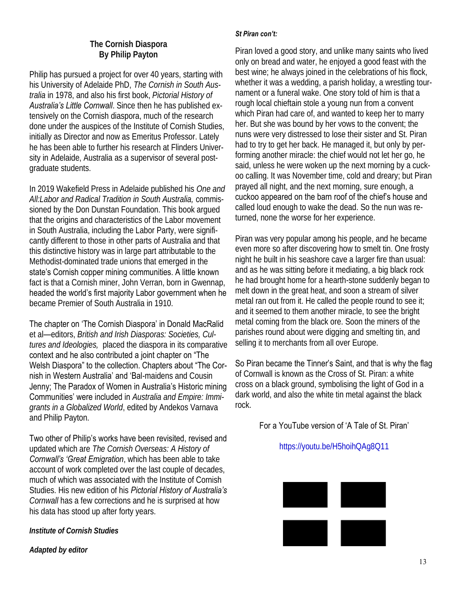#### **The Cornish Diaspora By Philip Payton**

Philip has pursued a project for over 40 years, starting with his University of Adelaide PhD, *The Cornish in South Australia* in 1978, and also his first book, *Pictorial History of Australia's Little Cornwall*. Since then he has published extensively on the Cornish diaspora, much of the research done under the auspices of the Institute of Cornish Studies, initially as Director and now as Emeritus Professor. Lately he has been able to further his research at Flinders University in Adelaide, Australia as a supervisor of several postgraduate students.

In 2019 Wakefield Press in Adelaide published his *One and All:Labor and Radical Tradition in South Australia,* commissioned by the Don Dunstan Foundation. This book argued that the origins and characteristics of the Labor movement in South Australia, including the Labor Party, were significantly different to those in other parts of Australia and that this distinctive history was in large part attributable to the Methodist-dominated trade unions that emerged in the state's Cornish copper mining communities. A little known fact is that a Cornish miner, John Verran, born in Gwennap, headed the world's first majority Labor government when he became Premier of South Australia in 1910.

The chapter on 'The Cornish Diaspora' in Donald MacRalid et al—editors, *British and Irish Diasporas: Societies, Cultures and Ideologies,* placed the diaspora in its comparative context and he also contributed a joint chapter on "The Welsh Diaspora" to the collection. Chapters about "The Cornish in Western Australia' and 'Bal-maidens and Cousin Jenny; The Paradox of Women in Australia's Historic mining Communities' were included in *Australia and Empire: Immigrants in a Globalized World*, edited by Andekos Varnava and Philip Payton.

Two other of Philip's works have been revisited, revised and updated which are *The Cornish Overseas: A History of Cornwall's 'Great Emigration*, which has been able to take account of work completed over the last couple of decades, much of which was associated with the Institute of Cornish Studies. His new edition of his *Pictorial History of Australia's Cornwall* has a few corrections and he is surprised at how his data has stood up after forty years.

*Institute of Cornish Studies*

*Adapted by editor*

#### *St Piran con't:*

Piran loved a good story, and unlike many saints who lived only on bread and water, he enjoyed a good feast with the best wine; he always joined in the celebrations of his flock, whether it was a wedding, a parish holiday, a wrestling tournament or a funeral wake. One story told of him is that a rough local chieftain stole a young nun from a convent which Piran had care of, and wanted to keep her to marry her. But she was bound by her vows to the convent; the nuns were very distressed to lose their sister and St. Piran had to try to get her back. He managed it, but only by performing another miracle: the chief would not let her go, he said, unless he were woken up the next morning by a cuckoo calling. It was November time, cold and dreary; but Piran prayed all night, and the next morning, sure enough, a cuckoo appeared on the barn roof of the chief's house and called loud enough to wake the dead. So the nun was returned, none the worse for her experience.

Piran was very popular among his people, and he became even more so after discovering how to smelt tin. One frosty night he built in his seashore cave a larger fire than usual: and as he was sitting before it mediating, a big black rock he had brought home for a hearth-stone suddenly began to melt down in the great heat, and soon a stream of silver metal ran out from it. He called the people round to see it; and it seemed to them another miracle, to see the bright metal coming from the black ore. Soon the miners of the parishes round about were digging and smelting tin, and selling it to merchants from all over Europe.

So Piran became the Tinner's Saint, and that is why the flag of Cornwall is known as the Cross of St. Piran: a white cross on a black ground, symbolising the light of God in a dark world, and also the white tin metal against the black rock.

#### For a YouTube version of 'A Tale of St. Piran'

#### https://youtu.be/H5hoihQAg8Q11

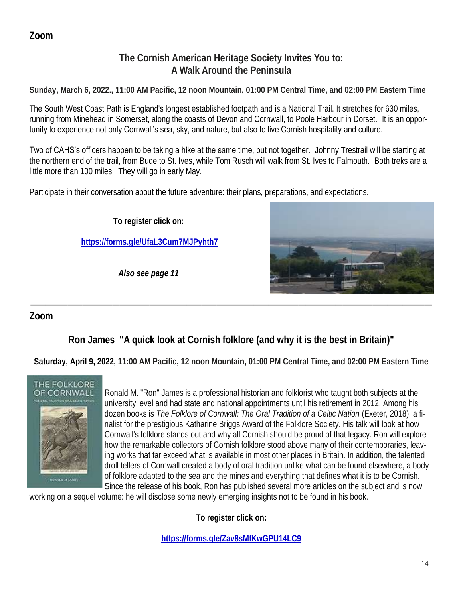# **Zoom**

# **The Cornish American Heritage Society Invites You to: A Walk Around the Peninsula**

**Sunday, March 6, 2022., 11:00 AM Pacific, 12 noon Mountain, 01:00 PM Central Time, and 02:00 PM Eastern Time**

The South West Coast Path is England's longest established footpath and is a National Trail. It stretches for 630 miles, running from Minehead in Somerset, along the coasts of Devon and Cornwall, to Poole Harbour in Dorset. It is an opportunity to experience not only Cornwall's sea, sky, and nature, but also to live Cornish hospitality and culture.

Two of CAHS's officers happen to be taking a hike at the same time, but not together. Johnny Trestrail will be starting at the northern end of the trail, from Bude to St. Ives, while Tom Rusch will walk from St. Ives to Falmouth. Both treks are a little more than 100 miles. They will go in early May.

Participate in their conversation about the future adventure: their plans, preparations, and expectations.

**To register click on:**

**https://forms.gle/UfaL3Cum7MJPyhth7**

*Also see page 11*



# **Zoom**

**Ron James "A quick look at Cornish folklore (and why it is the best in Britain)"** 

**——————————————————————————————————————————————————————**

**Saturday, April 9, 2022, 11:00 AM Pacific, 12 noon Mountain, 01:00 PM Central Time, and 02:00 PM Eastern Time**



Ronald M. "Ron" James is a professional historian and folklorist who taught both subjects at the university level and had state and national appointments until his retirement in 2012. Among his dozen books is *The Folklore of Cornwall: The Oral Tradition of a Celtic Nation* (Exeter, 2018), a finalist for the prestigious Katharine Briggs Award of the Folklore Society. His talk will look at how Cornwall's folklore stands out and why all Cornish should be proud of that legacy. Ron will explore how the remarkable collectors of Cornish folklore stood above many of their contemporaries, leaving works that far exceed what is available in most other places in Britain. In addition, the talented droll tellers of Cornwall created a body of oral tradition unlike what can be found elsewhere, a body of folklore adapted to the sea and the mines and everything that defines what it is to be Cornish. Since the release of his book, Ron has published several more articles on the subject and is now

working on a sequel volume: he will disclose some newly emerging insights not to be found in his book.

**To register click on:**

**https://forms.gle/Zav8sMfKwGPU14LC9**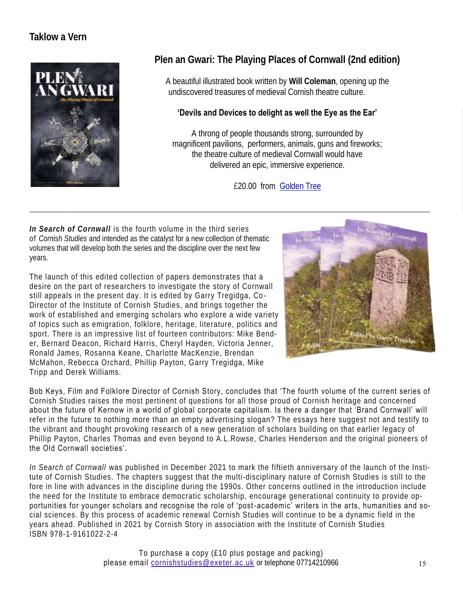# **Taklow a Vern**



# **Plen an Gwari: The Playing Places of Cornwall (2nd edition)**

A beautiful illustrated book written by **Will Coleman**, opening up the undiscovered treasures of medieval Cornish theatre culture.

#### **'Devils and Devices to delight as well the Eye as the Ear'**

A throng of people thousands strong, surrounded by magnificent pavilions, performers, animals, guns and fireworks; the theatre culture of medieval Cornwall would have delivered an epic, immersive experience.

£20.00 from Golden Tree

*In Search of Cornwall* is the fourth volume in the third series of *Cornish Studies* and intended as the catalyst for a new collection of thematic volumes that will develop both the series and the discipline over the next few years.

The launch of this edited collection of papers demonstrates that a desire on the part of researchers to investigate the story of Cornwall still appeals in the present day. It is edited by Garry Tregidga, Co - Director of the Institute of Cornish Studies, and brings together the work of established and emerging scholars who explore a wide variety of topics such as emigration, folklore, heritage, literature, politics and sport. There is an impressive list of fourteen contributors: Mike Bender, Bernard Deacon, Richard Harris, Cheryl Hayden, Victoria Jenner, Ronald James, Rosanna Keane, Charlotte MacKenzie, Brendan McMahon, Rebecca Orchard, Phillip Payton, Garry Tregidga, Mike Tripp and Derek Williams.



Bob Keys, Film and Folklore Director of Cornish Story, concludes that 'The fourth volume of the current series of Cornish Studies raises the most pertinent of questions for all those proud of Cornish heritage and concerned about the future of Kernow in a world of global corporate capitalism. Is there a danger that 'Brand Cornwall' will refer in the future to nothing more than an empty advertising slogan? The essays here suggest not and testify to the vibrant and thought provoking research of a new generation of scholars building on that earlier legacy of Phillip Payton, Charles Thomas and even beyond to A.L.Rowse, Charles Henderson and the original pioneers of the Old Cornwall societies'.

*In Search of Cornwall* was published in December 2021 to mark the fiftieth anniversary of the launch of the Institute of Cornish Studies. The chapters suggest that the multi-disciplinary nature of Cornish Studies is still to the fore in line with advances in the discipline during the 1990s. Other concerns outlined in the introduction include the need for the Institute to embrace democratic scholarship, encourage generational continuity to provide opportunities for younger scholars and recognise the role of 'post-academic' writers in the arts, humanities and social sciences. By this process of academic renewal Cornish Studies will continue to be a dynamic field in the years ahead. Published in 2021 by Cornish Story in association with the Institute of Cornish Studies ISBN 978-1-9161022-2-4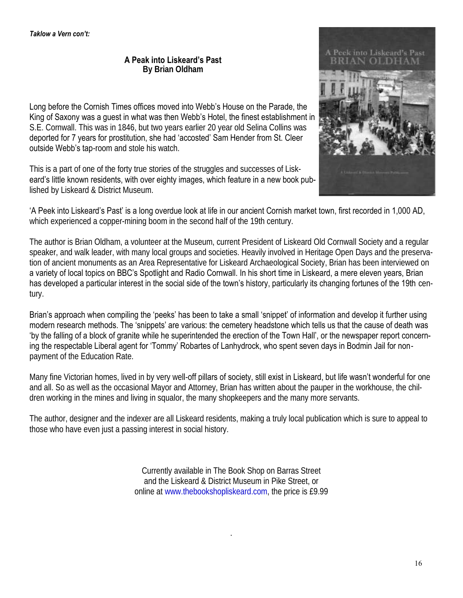**A Peak into Liskeard's Past By Brian Oldham**

Long before the Cornish Times offices moved into Webb's House on the Parade, the King of Saxony was a guest in what was then Webb's Hotel, the finest establishment in S.E. Cornwall. This was in 1846, but two years earlier 20 year old Selina Collins was deported for 7 years for prostitution, she had 'accosted' Sam Hender from St. Cleer outside Webb's tap-room and stole his watch.

This is a part of one of the forty true stories of the struggles and successes of Liskeard's little known residents, with over eighty images, which feature in a new book published by Liskeard & District Museum.



'A Peek into Liskeard's Past' is a long overdue look at life in our ancient Cornish market town, first recorded in 1,000 AD, which experienced a copper-mining boom in the second half of the 19th century.

The author is Brian Oldham, a volunteer at the Museum, current President of Liskeard Old Cornwall Society and a regular speaker, and walk leader, with many local groups and societies. Heavily involved in Heritage Open Days and the preservation of ancient monuments as an Area Representative for Liskeard Archaeological Society, Brian has been interviewed on a variety of local topics on BBC's Spotlight and Radio Cornwall. In his short time in Liskeard, a mere eleven years, Brian has developed a particular interest in the social side of the town's history, particularly its changing fortunes of the 19th century.

Brian's approach when compiling the 'peeks' has been to take a small 'snippet' of information and develop it further using modern research methods. The 'snippets' are various: the cemetery headstone which tells us that the cause of death was 'by the falling of a block of granite while he superintended the erection of the Town Hall', or the newspaper report concerning the respectable Liberal agent for 'Tommy' Robartes of Lanhydrock, who spent seven days in Bodmin Jail for nonpayment of the Education Rate.

Many fine Victorian homes, lived in by very well-off pillars of society, still exist in Liskeard, but life wasn't wonderful for one and all. So as well as the occasional Mayor and Attorney, Brian has written about the pauper in the workhouse, the children working in the mines and living in squalor, the many shopkeepers and the many more servants.

The author, designer and the indexer are all Liskeard residents, making a truly local publication which is sure to appeal to those who have even just a passing interest in social history.

> Currently available in The Book Shop on Barras Street and the Liskeard & District Museum in Pike Street, or online at www.thebookshopliskeard.com, the price is £9.99

> > .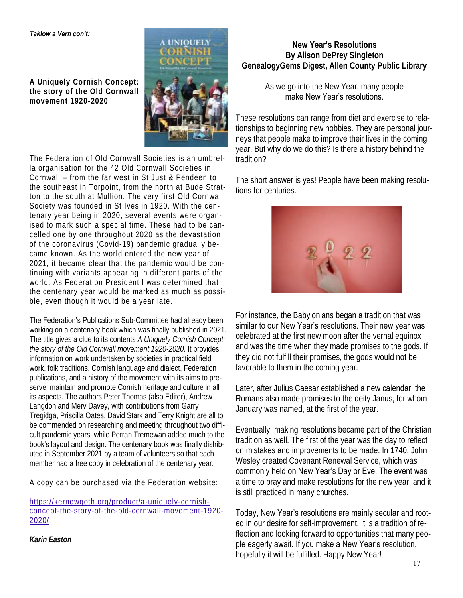#### *Taklow a Vern con't:*

**A Uniquely Cornish Concept: the story of the Old Cornwall movement 1920-2020**



The Federation of Old Cornwall Societies is an umbrella organisation for the 42 Old Cornwall Societies in Cornwall – from the far west in St Just & Pendeen to the southeast in Torpoint, from the north at Bude Stratton to the south at Mullion. The very first Old Cornwall Society was founded in St Ives in 1920. With the centenary year being in 2020, several events were organised to mark such a special time. These had to be cancelled one by one throughout 2020 as the devastation of the coronavirus (Covid-19) pandemic gradually became known. As the world entered the new year of 2021, it became clear that the pandemic would be continuing with variants appearing in different parts of the world. As Federation President I was determined that the centenary year would be marked as much as possible, even though it would be a year late.

The Federation's Publications Sub-Committee had already been working on a centenary book which was finally published in 2021. The title gives a clue to its contents *A Uniquely Cornish Concept: the story of the Old Cornwall movement 1920-2020.* It provides information on work undertaken by societies in practical field work, folk traditions, Cornish language and dialect, Federation publications, and a history of the movement with its aims to preserve, maintain and promote Cornish heritage and culture in all its aspects. The authors Peter Thomas (also Editor), Andrew Langdon and Merv Davey, with contributions from Garry Tregidga, Priscilla Oates, David Stark and Terry Knight are all to be commended on researching and meeting throughout two difficult pandemic years, while Perran Tremewan added much to the book's layout and design. The centenary book was finally distributed in September 2021 by a team of volunteers so that each member had a free copy in celebration of the centenary year.

A copy can be purchased via the Federation website:

https://kernowgoth.org/product/a-uniquely-cornishconcept-the-story-of-the-old-cornwall-movement-1920- 2020/

**New Year's Resolutions By Alison DePrey Singleton GenealogyGems Digest, Allen County Public Library**

#### As we go into the New Year, many people make New Year's resolutions.

These resolutions can range from diet and exercise to relationships to beginning new hobbies. They are personal journeys that people make to improve their lives in the coming year. But why do we do this? Is there a history behind the tradition?

The short answer is yes! People have been making resolutions for centuries.



For instance, the Babylonians began a tradition that was similar to our New Year's resolutions. Their new year was celebrated at the first new moon after the vernal equinox and was the time when they made promises to the gods. If they did not fulfill their promises, the gods would not be favorable to them in the coming year.

Later, after Julius Caesar established a new calendar, the Romans also made promises to the deity Janus, for whom January was named, at the first of the year.

Eventually, making resolutions became part of the Christian tradition as well. The first of the year was the day to reflect on mistakes and improvements to be made. In 1740, John Wesley created Covenant Renewal Service, which was commonly held on New Year's Day or Eve. The event was a time to pray and make resolutions for the new year, and it is still practiced in many churches.

Today, New Year's resolutions are mainly secular and rooted in our desire for self-improvement. It is a tradition of reflection and looking forward to opportunities that many people eagerly await. If you make a New Year's resolution, hopefully it will be fulfilled. Happy New Year!

*Karin Easton*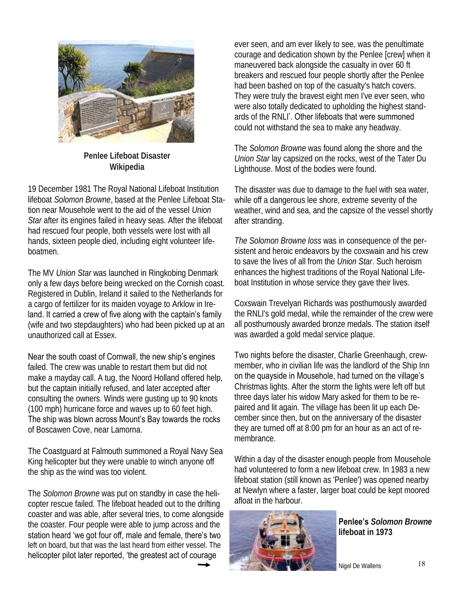

**Penlee Lifeboat Disaster Wikipedia**

19 December 1981 The Royal National Lifeboat Institution lifeboat *Solomon Browne*, based at the Penlee Lifeboat Station near Mousehole went to the aid of the vessel *Union Star* after its engines failed in heavy seas. After the lifeboat had rescued four people, both vessels were lost with all hands, sixteen people died, including eight volunteer lifeboatmen.

The MV *Union Star* was launched in Ringkobing Denmark only a few days before being wrecked on the Cornish coast. Registered in Dublin, Ireland it sailed to the Netherlands for a cargo of fertilizer for its maiden voyage to Arklow in Ireland. It carried a crew of five along with the captain's family (wife and two stepdaughters) who had been picked up at an unauthorized call at Essex.

Near the south coast of Cornwall, the new ship's engines failed. The crew was unable to restart them but did not make a mayday call. A tug, the Noord Holland offered help, but the captain initially refused, and later accepted after consulting the owners. Winds were gusting up to 90 knots (100 mph) hurricane force and waves up to 60 feet high. The ship was blown across Mount's Bay towards the rocks of Boscawen Cove, near Lamorna.

The Coastguard at Falmouth summoned a Royal Navy Sea King helicopter but they were unable to winch anyone off the ship as the wind was too violent.

The *Solomon Browne* was put on standby in case the helicopter rescue failed. The lifeboat headed out to the drifting coaster and was able, after several tries, to come alongside the coaster. Four people were able to jump across and the station heard 'we got four off, male and female, there's two left on board, but that was the last heard from either vessel. The helicopter pilot later reported, 'the greatest act of courage

ever seen, and am ever likely to see, was the penultimate courage and dedication shown by the Penlee [crew] when it maneuvered back alongside the casualty in over 60 ft breakers and rescued four people shortly after the Penlee had been bashed on top of the casualty's hatch covers. They were truly the bravest eight men I've ever seen, who were also totally dedicated to upholding the highest standards of the RNLI'. Other lifeboats that were summoned could not withstand the sea to make any headway.

The *Solomon Browne* was found along the shore and the *Union Star* lay capsized on the rocks, west of the Tater Du Lighthouse. Most of the bodies were found.

The disaster was due to damage to the fuel with sea water, while off a dangerous lee shore, extreme severity of the weather, wind and sea, and the capsize of the vessel shortly after stranding.

*The Solomon Browne loss* was in consequence of the persistent and heroic endeavors by the coxswain and his crew to save the lives of all from the *Union Star*. Such heroism enhances the highest traditions of the Royal National Lifeboat Institution in whose service they gave their lives.

Coxswain Trevelyan Richards was posthumously awarded the RNLI's gold medal, while the remainder of the crew were all posthumously awarded bronze medals. The station itself was awarded a gold medal service plaque.

Two nights before the disaster, Charlie Greenhaugh, crewmember, who in civilian life was the landlord of the Ship Inn on the quayside in Mousehole, had turned on the village's Christmas lights. After the storm the lights were left off but three days later his widow Mary asked for them to be repaired and lit again. The village has been lit up each December since then, but on the anniversary of the disaster they are turned off at 8:00 pm for an hour as an act of remembrance.

Within a day of the disaster enough people from Mousehole had volunteered to form a new lifeboat crew. In 1983 a new lifeboat station (still known as 'Penlee') was opened nearby at Newlyn where a faster, larger boat could be kept moored afloat in the harbour.



**Penlee's** *Solomon Browne*  **lifeboat in 1973**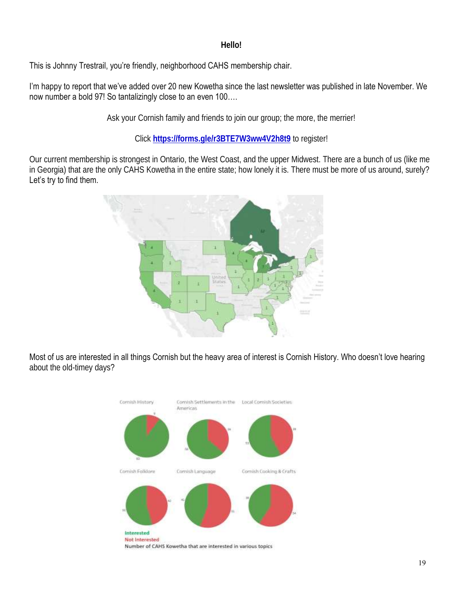#### **Hello!**

This is Johnny Trestrail, you're friendly, neighborhood CAHS membership chair.

I'm happy to report that we've added over 20 new Kowetha since the last newsletter was published in late November. We now number a bold 97! So tantalizingly close to an even 100….

Ask your Cornish family and friends to join our group; the more, the merrier!

Click **https://forms.gle/r3BTE7W3ww4V2h8t9** to register!

Our current membership is strongest in Ontario, the West Coast, and the upper Midwest. There are a bunch of us (like me in Georgia) that are the only CAHS Kowetha in the entire state; how lonely it is. There must be more of us around, surely? Let's try to find them.



Most of us are interested in all things Cornish but the heavy area of interest is Cornish History. Who doesn't love hearing about the old-timey days?